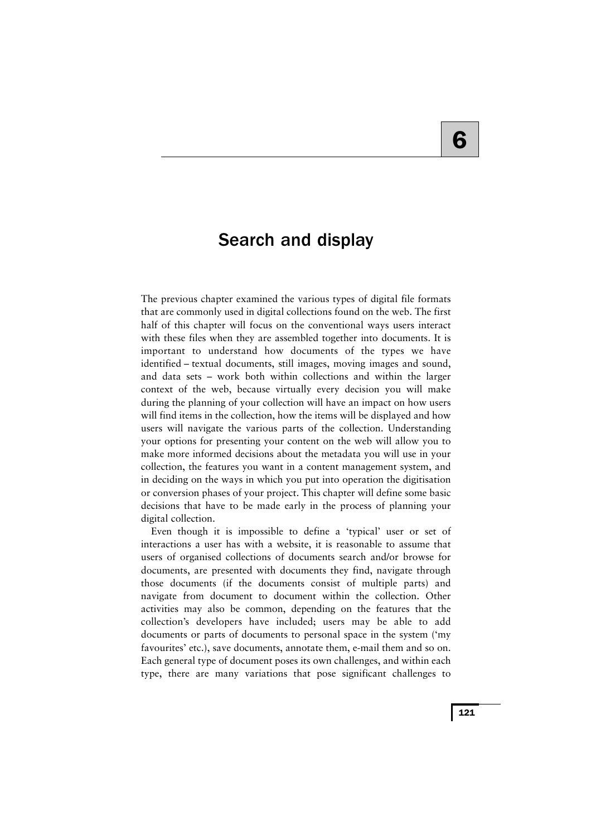# 6

# Search and display

The previous chapter examined the various types of digital file formats that are commonly used in digital collections found on the web. The first half of this chapter will focus on the conventional ways users interact with these files when they are assembled together into documents. It is important to understand how documents of the types we have identified – textual documents, still images, moving images and sound, and data sets – work both within collections and within the larger context of the web, because virtually every decision you will make during the planning of your collection will have an impact on how users will find items in the collection, how the items will be displayed and how users will navigate the various parts of the collection. Understanding your options for presenting your content on the web will allow you to make more informed decisions about the metadata you will use in your collection, the features you want in a content management system, and in deciding on the ways in which you put into operation the digitisation or conversion phases of your project. This chapter will define some basic decisions that have to be made early in the process of planning your digital collection.

Even though it is impossible to define a 'typical' user or set of interactions a user has with a website, it is reasonable to assume that users of organised collections of documents search and/or browse for documents, are presented with documents they find, navigate through those documents (if the documents consist of multiple parts) and navigate from document to document within the collection. Other activities may also be common, depending on the features that the collection's developers have included; users may be able to add documents or parts of documents to personal space in the system ('my favourites' etc.), save documents, annotate them, e-mail them and so on. Each general type of document poses its own challenges, and within each type, there are many variations that pose significant challenges to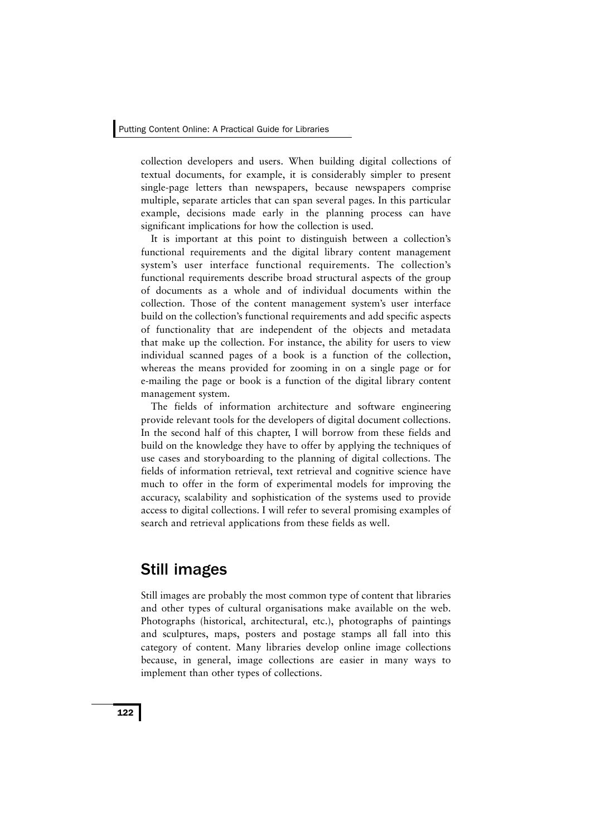collection developers and users. When building digital collections of textual documents, for example, it is considerably simpler to present single-page letters than newspapers, because newspapers comprise multiple, separate articles that can span several pages. In this particular example, decisions made early in the planning process can have significant implications for how the collection is used.

It is important at this point to distinguish between a collection's functional requirements and the digital library content management system's user interface functional requirements. The collection's functional requirements describe broad structural aspects of the group of documents as a whole and of individual documents within the collection. Those of the content management system's user interface build on the collection's functional requirements and add specific aspects of functionality that are independent of the objects and metadata that make up the collection. For instance, the ability for users to view individual scanned pages of a book is a function of the collection, whereas the means provided for zooming in on a single page or for e-mailing the page or book is a function of the digital library content management system.

The fields of information architecture and software engineering provide relevant tools for the developers of digital document collections. In the second half of this chapter, I will borrow from these fields and build on the knowledge they have to offer by applying the techniques of use cases and storyboarding to the planning of digital collections. The fields of information retrieval, text retrieval and cognitive science have much to offer in the form of experimental models for improving the accuracy, scalability and sophistication of the systems used to provide access to digital collections. I will refer to several promising examples of search and retrieval applications from these fields as well.

### Still images

Still images are probably the most common type of content that libraries and other types of cultural organisations make available on the web. Photographs (historical, architectural, etc.), photographs of paintings and sculptures, maps, posters and postage stamps all fall into this category of content. Many libraries develop online image collections because, in general, image collections are easier in many ways to implement than other types of collections.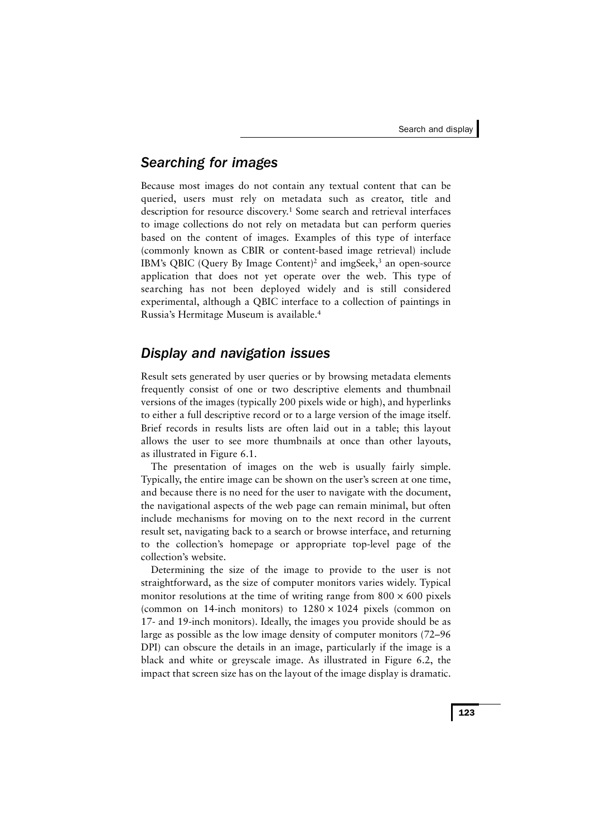#### *Searching for images*

Because most images do not contain any textual content that can be queried, users must rely on metadata such as creator, title and description for resource discovery.1 Some search and retrieval interfaces to image collections do not rely on metadata but can perform queries based on the content of images. Examples of this type of interface (commonly known as CBIR or content-based image retrieval) include IBM's QBIC (Query By Image Content)<sup>2</sup> and imgSeek,<sup>3</sup> an open-source application that does not yet operate over the web. This type of searching has not been deployed widely and is still considered experimental, although a QBIC interface to a collection of paintings in Russia's Hermitage Museum is available.4

#### *Display and navigation issues*

Result sets generated by user queries or by browsing metadata elements frequently consist of one or two descriptive elements and thumbnail versions of the images (typically 200 pixels wide or high), and hyperlinks to either a full descriptive record or to a large version of the image itself. Brief records in results lists are often laid out in a table; this layout allows the user to see more thumbnails at once than other layouts, as illustrated in Figure 6.1.

The presentation of images on the web is usually fairly simple. Typically, the entire image can be shown on the user's screen at one time, and because there is no need for the user to navigate with the document, the navigational aspects of the web page can remain minimal, but often include mechanisms for moving on to the next record in the current result set, navigating back to a search or browse interface, and returning to the collection's homepage or appropriate top-level page of the collection's website.

Determining the size of the image to provide to the user is not straightforward, as the size of computer monitors varies widely. Typical monitor resolutions at the time of writing range from  $800 \times 600$  pixels (common on 14-inch monitors) to  $1280 \times 1024$  pixels (common on 17- and 19-inch monitors). Ideally, the images you provide should be as large as possible as the low image density of computer monitors (72–96 DPI) can obscure the details in an image, particularly if the image is a black and white or greyscale image. As illustrated in Figure 6.2, the impact that screen size has on the layout of the image display is dramatic.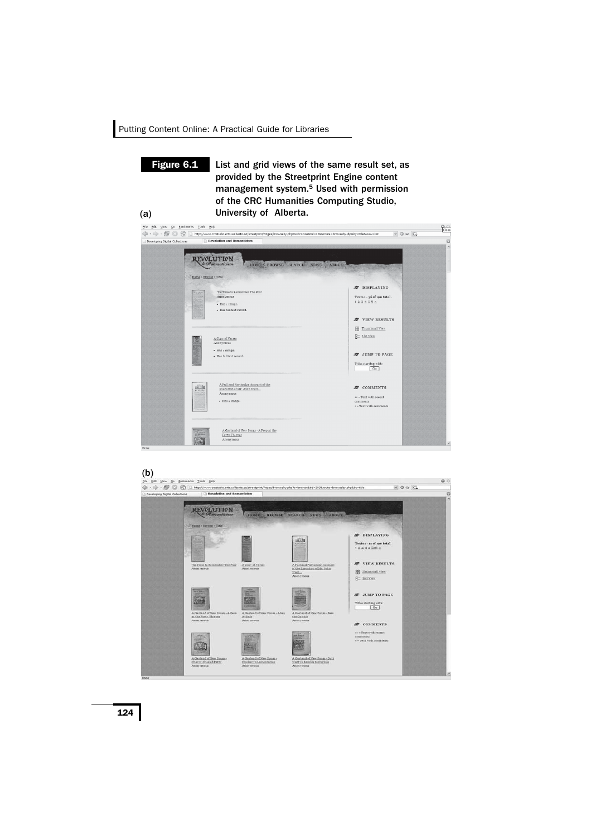Figure 6.1 List and grid views of the same result set, as provided by the Streetprint Engine content management system.5 Used with permission of the CRC Humanities Computing Studio,



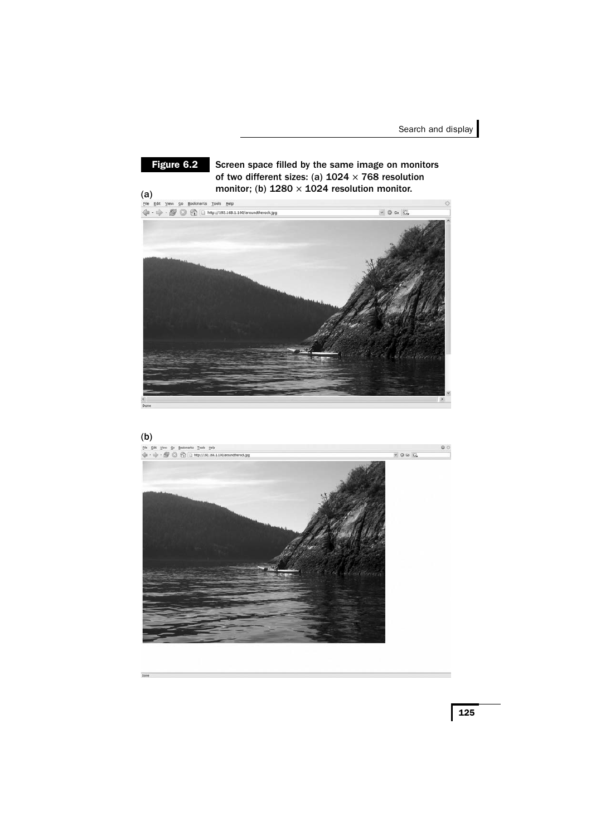Search and display

# Figure 6.2 Screen space filled by the same image on monitors of two different sizes: (a)  $1024 \times 768$  resolution



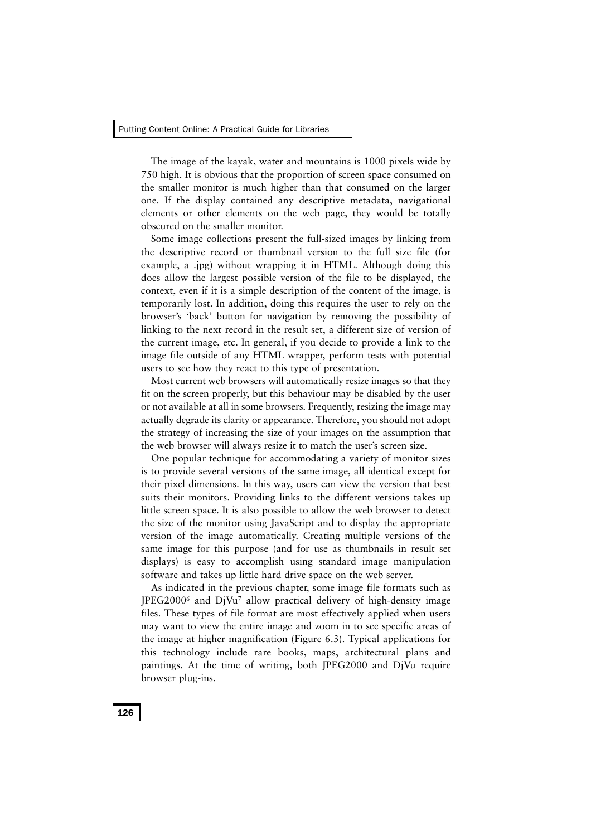The image of the kayak, water and mountains is 1000 pixels wide by 750 high. It is obvious that the proportion of screen space consumed on the smaller monitor is much higher than that consumed on the larger one. If the display contained any descriptive metadata, navigational elements or other elements on the web page, they would be totally obscured on the smaller monitor.

Some image collections present the full-sized images by linking from the descriptive record or thumbnail version to the full size file (for example, a .jpg) without wrapping it in HTML. Although doing this does allow the largest possible version of the file to be displayed, the context, even if it is a simple description of the content of the image, is temporarily lost. In addition, doing this requires the user to rely on the browser's 'back' button for navigation by removing the possibility of linking to the next record in the result set, a different size of version of the current image, etc. In general, if you decide to provide a link to the image file outside of any HTML wrapper, perform tests with potential users to see how they react to this type of presentation.

Most current web browsers will automatically resize images so that they fit on the screen properly, but this behaviour may be disabled by the user or not available at all in some browsers. Frequently, resizing the image may actually degrade its clarity or appearance. Therefore, you should not adopt the strategy of increasing the size of your images on the assumption that the web browser will always resize it to match the user's screen size.

One popular technique for accommodating a variety of monitor sizes is to provide several versions of the same image, all identical except for their pixel dimensions. In this way, users can view the version that best suits their monitors. Providing links to the different versions takes up little screen space. It is also possible to allow the web browser to detect the size of the monitor using JavaScript and to display the appropriate version of the image automatically. Creating multiple versions of the same image for this purpose (and for use as thumbnails in result set displays) is easy to accomplish using standard image manipulation software and takes up little hard drive space on the web server.

As indicated in the previous chapter, some image file formats such as JPEG20006 and DjVu7 allow practical delivery of high-density image files. These types of file format are most effectively applied when users may want to view the entire image and zoom in to see specific areas of the image at higher magnification (Figure 6.3). Typical applications for this technology include rare books, maps, architectural plans and paintings. At the time of writing, both JPEG2000 and DjVu require browser plug-ins.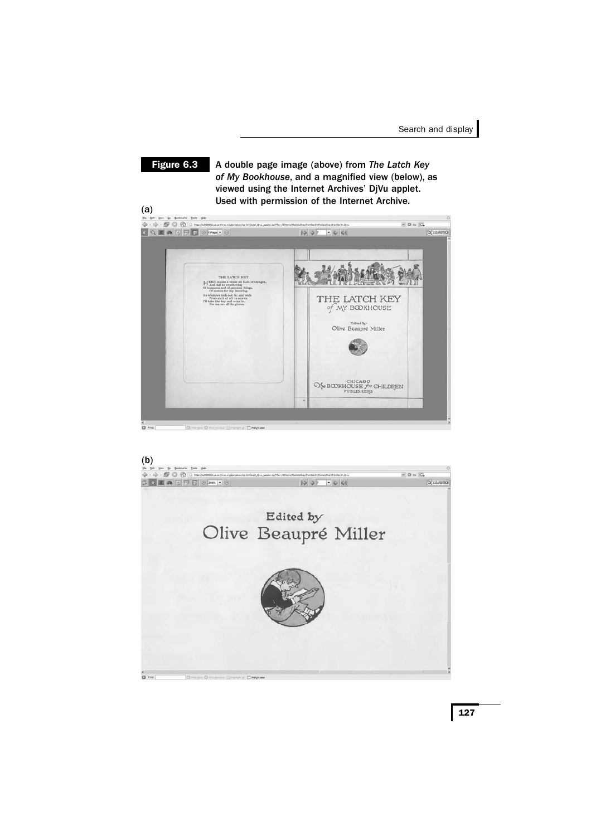Figure 6.3 A double page image (above) from *The Latch Key of My Bookhouse*, and a magnified view (below), as viewed using the Internet Archives' DjVu applet. Used with permission of the Internet Archive.



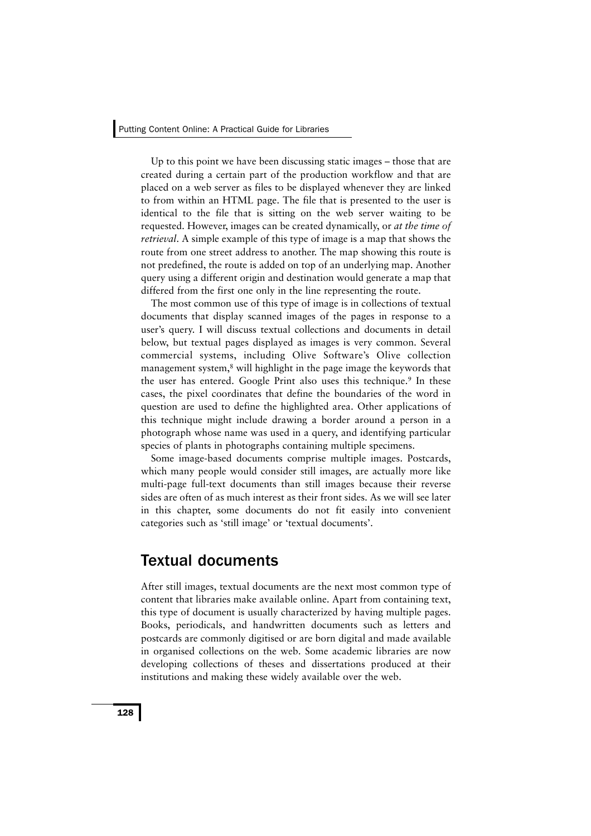Up to this point we have been discussing static images – those that are created during a certain part of the production workflow and that are placed on a web server as files to be displayed whenever they are linked to from within an HTML page. The file that is presented to the user is identical to the file that is sitting on the web server waiting to be requested. However, images can be created dynamically, or *at the time of retrieval*. A simple example of this type of image is a map that shows the route from one street address to another. The map showing this route is not predefined, the route is added on top of an underlying map. Another query using a different origin and destination would generate a map that differed from the first one only in the line representing the route.

The most common use of this type of image is in collections of textual documents that display scanned images of the pages in response to a user's query. I will discuss textual collections and documents in detail below, but textual pages displayed as images is very common. Several commercial systems, including Olive Software's Olive collection management system,<sup>8</sup> will highlight in the page image the keywords that the user has entered. Google Print also uses this technique.<sup>9</sup> In these cases, the pixel coordinates that define the boundaries of the word in question are used to define the highlighted area. Other applications of this technique might include drawing a border around a person in a photograph whose name was used in a query, and identifying particular species of plants in photographs containing multiple specimens.

Some image-based documents comprise multiple images. Postcards, which many people would consider still images, are actually more like multi-page full-text documents than still images because their reverse sides are often of as much interest as their front sides. As we will see later in this chapter, some documents do not fit easily into convenient categories such as 'still image' or 'textual documents'.

### Textual documents

After still images, textual documents are the next most common type of content that libraries make available online. Apart from containing text, this type of document is usually characterized by having multiple pages. Books, periodicals, and handwritten documents such as letters and postcards are commonly digitised or are born digital and made available in organised collections on the web. Some academic libraries are now developing collections of theses and dissertations produced at their institutions and making these widely available over the web.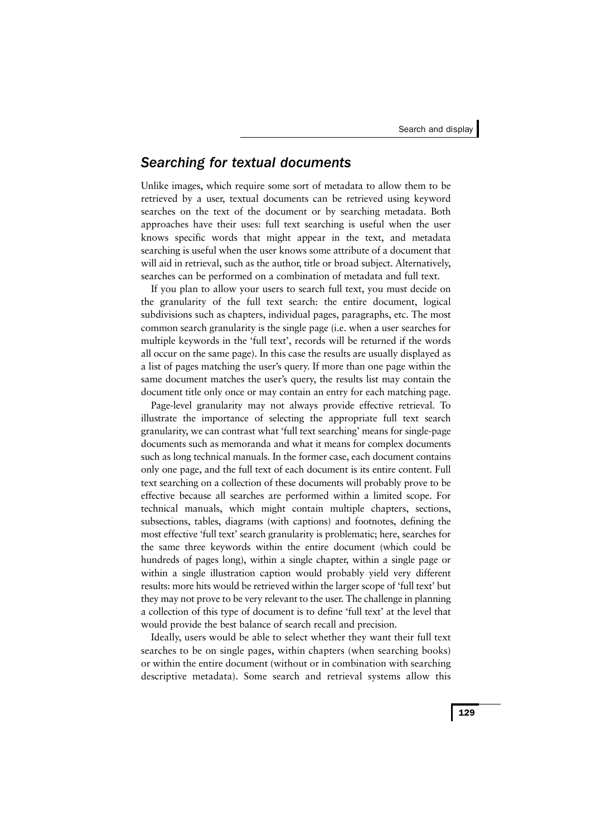#### *Searching for textual documents*

Unlike images, which require some sort of metadata to allow them to be retrieved by a user, textual documents can be retrieved using keyword searches on the text of the document or by searching metadata. Both approaches have their uses: full text searching is useful when the user knows specific words that might appear in the text, and metadata searching is useful when the user knows some attribute of a document that will aid in retrieval, such as the author, title or broad subject. Alternatively, searches can be performed on a combination of metadata and full text.

If you plan to allow your users to search full text, you must decide on the granularity of the full text search: the entire document, logical subdivisions such as chapters, individual pages, paragraphs, etc. The most common search granularity is the single page (i.e. when a user searches for multiple keywords in the 'full text', records will be returned if the words all occur on the same page). In this case the results are usually displayed as a list of pages matching the user's query. If more than one page within the same document matches the user's query, the results list may contain the document title only once or may contain an entry for each matching page.

Page-level granularity may not always provide effective retrieval. To illustrate the importance of selecting the appropriate full text search granularity, we can contrast what 'full text searching' means for single-page documents such as memoranda and what it means for complex documents such as long technical manuals. In the former case, each document contains only one page, and the full text of each document is its entire content. Full text searching on a collection of these documents will probably prove to be effective because all searches are performed within a limited scope. For technical manuals, which might contain multiple chapters, sections, subsections, tables, diagrams (with captions) and footnotes, defining the most effective 'full text' search granularity is problematic; here, searches for the same three keywords within the entire document (which could be hundreds of pages long), within a single chapter, within a single page or within a single illustration caption would probably yield very different results: more hits would be retrieved within the larger scope of 'full text' but they may not prove to be very relevant to the user. The challenge in planning a collection of this type of document is to define 'full text' at the level that would provide the best balance of search recall and precision.

Ideally, users would be able to select whether they want their full text searches to be on single pages, within chapters (when searching books) or within the entire document (without or in combination with searching descriptive metadata). Some search and retrieval systems allow this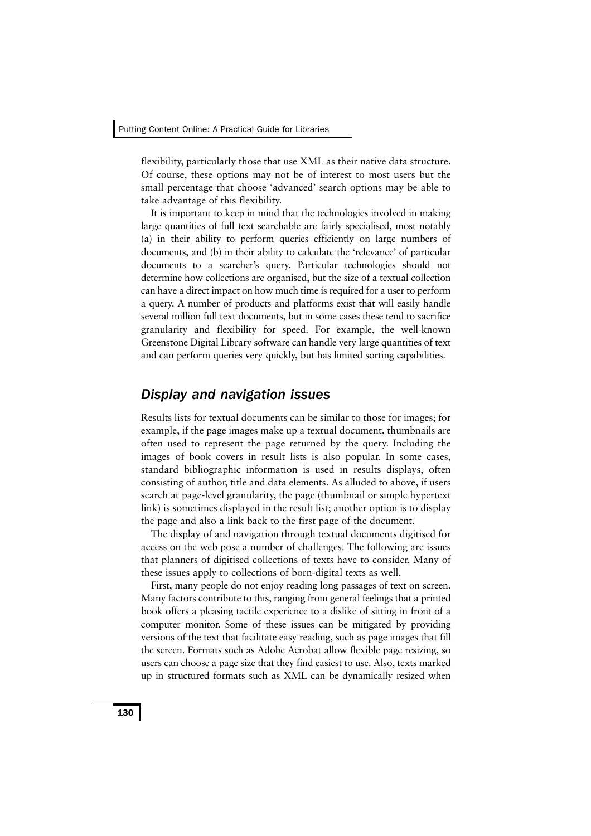flexibility, particularly those that use XML as their native data structure. Of course, these options may not be of interest to most users but the small percentage that choose 'advanced' search options may be able to take advantage of this flexibility.

It is important to keep in mind that the technologies involved in making large quantities of full text searchable are fairly specialised, most notably (a) in their ability to perform queries efficiently on large numbers of documents, and (b) in their ability to calculate the 'relevance' of particular documents to a searcher's query. Particular technologies should not determine how collections are organised, but the size of a textual collection can have a direct impact on how much time is required for a user to perform a query. A number of products and platforms exist that will easily handle several million full text documents, but in some cases these tend to sacrifice granularity and flexibility for speed. For example, the well-known Greenstone Digital Library software can handle very large quantities of text and can perform queries very quickly, but has limited sorting capabilities.

#### *Display and navigation issues*

Results lists for textual documents can be similar to those for images; for example, if the page images make up a textual document, thumbnails are often used to represent the page returned by the query. Including the images of book covers in result lists is also popular. In some cases, standard bibliographic information is used in results displays, often consisting of author, title and data elements. As alluded to above, if users search at page-level granularity, the page (thumbnail or simple hypertext link) is sometimes displayed in the result list; another option is to display the page and also a link back to the first page of the document.

The display of and navigation through textual documents digitised for access on the web pose a number of challenges. The following are issues that planners of digitised collections of texts have to consider. Many of these issues apply to collections of born-digital texts as well.

First, many people do not enjoy reading long passages of text on screen. Many factors contribute to this, ranging from general feelings that a printed book offers a pleasing tactile experience to a dislike of sitting in front of a computer monitor. Some of these issues can be mitigated by providing versions of the text that facilitate easy reading, such as page images that fill the screen. Formats such as Adobe Acrobat allow flexible page resizing, so users can choose a page size that they find easiest to use. Also, texts marked up in structured formats such as XML can be dynamically resized when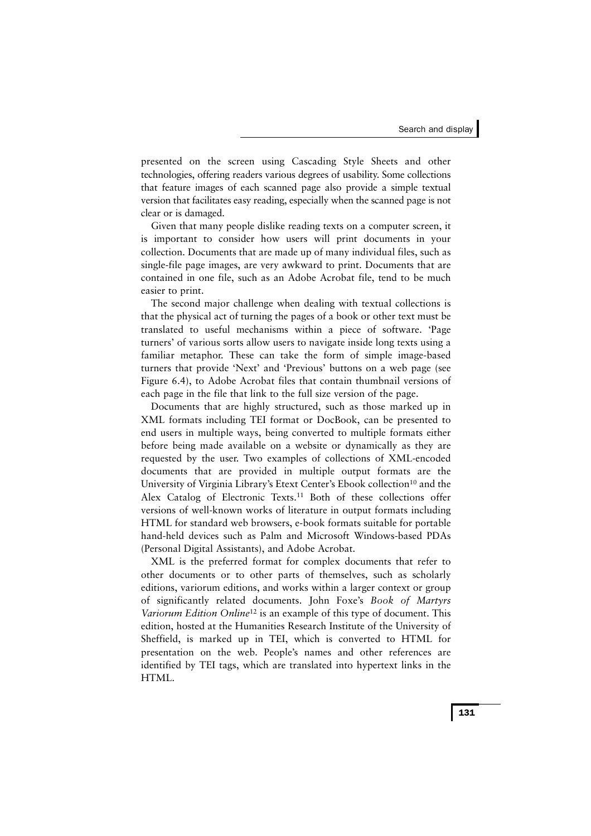presented on the screen using Cascading Style Sheets and other technologies, offering readers various degrees of usability. Some collections that feature images of each scanned page also provide a simple textual version that facilitates easy reading, especially when the scanned page is not clear or is damaged.

Given that many people dislike reading texts on a computer screen, it is important to consider how users will print documents in your collection. Documents that are made up of many individual files, such as single-file page images, are very awkward to print. Documents that are contained in one file, such as an Adobe Acrobat file, tend to be much easier to print.

The second major challenge when dealing with textual collections is that the physical act of turning the pages of a book or other text must be translated to useful mechanisms within a piece of software. 'Page turners' of various sorts allow users to navigate inside long texts using a familiar metaphor. These can take the form of simple image-based turners that provide 'Next' and 'Previous' buttons on a web page (see Figure 6.4), to Adobe Acrobat files that contain thumbnail versions of each page in the file that link to the full size version of the page.

Documents that are highly structured, such as those marked up in XML formats including TEI format or DocBook, can be presented to end users in multiple ways, being converted to multiple formats either before being made available on a website or dynamically as they are requested by the user. Two examples of collections of XML-encoded documents that are provided in multiple output formats are the University of Virginia Library's Etext Center's Ebook collection<sup>10</sup> and the Alex Catalog of Electronic Texts.11 Both of these collections offer versions of well-known works of literature in output formats including HTML for standard web browsers, e-book formats suitable for portable hand-held devices such as Palm and Microsoft Windows-based PDAs (Personal Digital Assistants), and Adobe Acrobat.

XML is the preferred format for complex documents that refer to other documents or to other parts of themselves, such as scholarly editions, variorum editions, and works within a larger context or group of significantly related documents. John Foxe's *Book of Martyrs Variorum Edition Online*<sup>12</sup> is an example of this type of document. This edition, hosted at the Humanities Research Institute of the University of Sheffield, is marked up in TEI, which is converted to HTML for presentation on the web. People's names and other references are identified by TEI tags, which are translated into hypertext links in the HTML.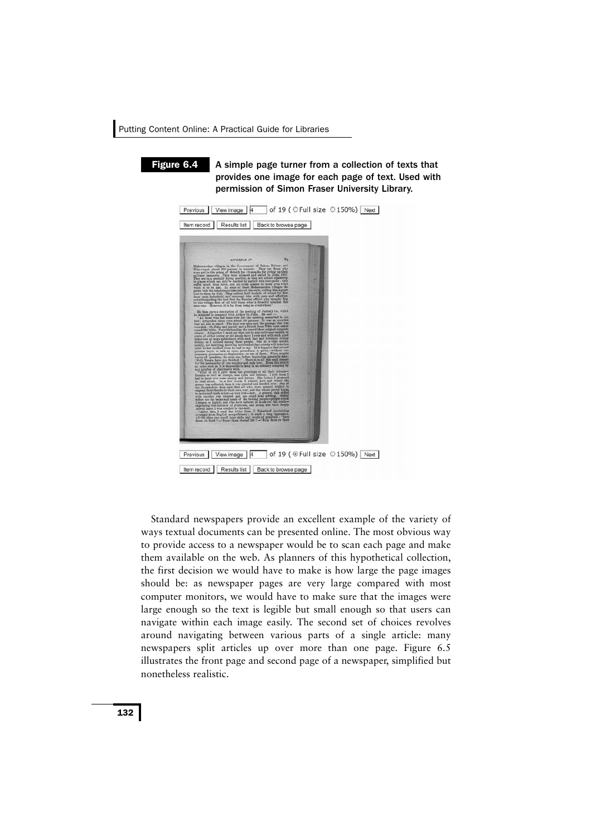

Standard newspapers provide an excellent example of the variety of ways textual documents can be presented online. The most obvious way to provide access to a newspaper would be to scan each page and make them available on the web. As planners of this hypothetical collection, the first decision we would have to make is how large the page images should be: as newspaper pages are very large compared with most computer monitors, we would have to make sure that the images were large enough so the text is legible but small enough so that users can navigate within each image easily. The second set of choices revolves around navigating between various parts of a single article: many newspapers split articles up over more than one page. Figure 6.5 illustrates the front page and second page of a newspaper, simplified but nonetheless realistic.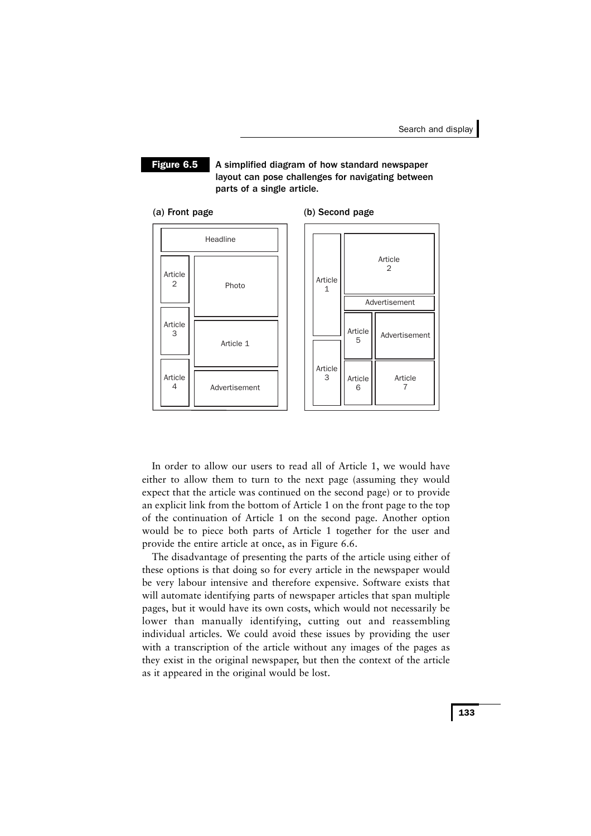Figure 6.5 A simplified diagram of how standard newspaper layout can pose challenges for navigating between parts of a single article.

#### (a) Front page (b) Second page



In order to allow our users to read all of Article 1, we would have either to allow them to turn to the next page (assuming they would expect that the article was continued on the second page) or to provide an explicit link from the bottom of Article 1 on the front page to the top of the continuation of Article 1 on the second page. Another option would be to piece both parts of Article 1 together for the user and provide the entire article at once, as in Figure 6.6.

The disadvantage of presenting the parts of the article using either of these options is that doing so for every article in the newspaper would be very labour intensive and therefore expensive. Software exists that will automate identifying parts of newspaper articles that span multiple pages, but it would have its own costs, which would not necessarily be lower than manually identifying, cutting out and reassembling individual articles. We could avoid these issues by providing the user with a transcription of the article without any images of the pages as they exist in the original newspaper, but then the context of the article as it appeared in the original would be lost.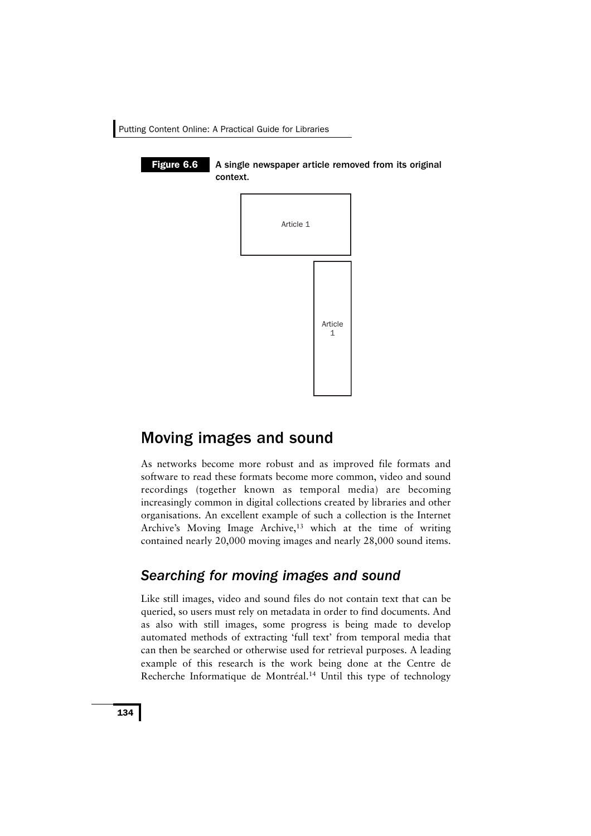

# Moving images and sound

As networks become more robust and as improved file formats and software to read these formats become more common, video and sound recordings (together known as temporal media) are becoming increasingly common in digital collections created by libraries and other organisations. An excellent example of such a collection is the Internet Archive's Moving Image Archive,<sup>13</sup> which at the time of writing contained nearly 20,000 moving images and nearly 28,000 sound items.

# *Searching for moving images and sound*

Like still images, video and sound files do not contain text that can be queried, so users must rely on metadata in order to find documents. And as also with still images, some progress is being made to develop automated methods of extracting 'full text' from temporal media that can then be searched or otherwise used for retrieval purposes. A leading example of this research is the work being done at the Centre de Recherche Informatique de Montréal.14 Until this type of technology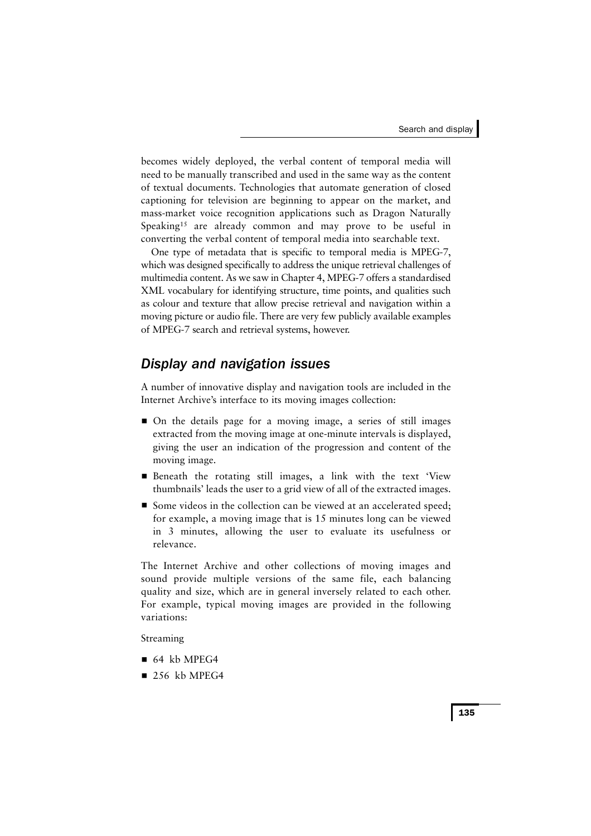becomes widely deployed, the verbal content of temporal media will need to be manually transcribed and used in the same way as the content of textual documents. Technologies that automate generation of closed captioning for television are beginning to appear on the market, and mass-market voice recognition applications such as Dragon Naturally Speaking15 are already common and may prove to be useful in converting the verbal content of temporal media into searchable text.

One type of metadata that is specific to temporal media is MPEG-7, which was designed specifically to address the unique retrieval challenges of multimedia content. As we saw in Chapter 4, MPEG-7 offers a standardised XML vocabulary for identifying structure, time points, and qualities such as colour and texture that allow precise retrieval and navigation within a moving picture or audio file. There are very few publicly available examples of MPEG-7 search and retrieval systems, however.

#### *Display and navigation issues*

A number of innovative display and navigation tools are included in the Internet Archive's interface to its moving images collection:

- On the details page for a moving image, a series of still images extracted from the moving image at one-minute intervals is displayed, giving the user an indication of the progression and content of the moving image.
- Beneath the rotating still images, a link with the text 'View thumbnails' leads the user to a grid view of all of the extracted images.
- Some videos in the collection can be viewed at an accelerated speed; for example, a moving image that is 15 minutes long can be viewed in 3 minutes, allowing the user to evaluate its usefulness or relevance.

The Internet Archive and other collections of moving images and sound provide multiple versions of the same file, each balancing quality and size, which are in general inversely related to each other. For example, typical moving images are provided in the following variations:

Streaming

- $64$  kb MPEG4
- $\blacksquare$  256 kb MPEG4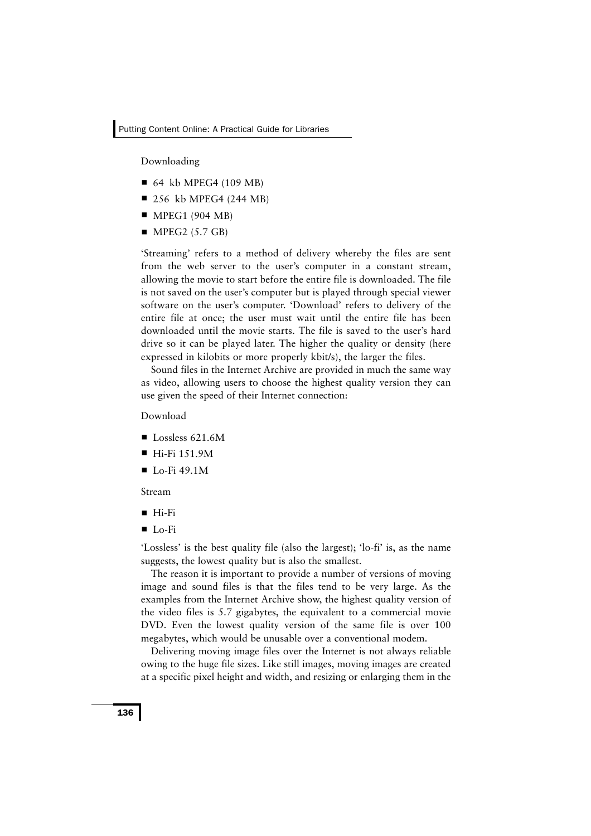Downloading

- $\blacksquare$  64 kb MPEG4 (109 MB)
- 256 kb MPEG4 (244 MB)
- $MPEG1 (904 MB)$
- $\blacksquare$  MPEG2 (5.7 GB)

'Streaming' refers to a method of delivery whereby the files are sent from the web server to the user's computer in a constant stream, allowing the movie to start before the entire file is downloaded. The file is not saved on the user's computer but is played through special viewer software on the user's computer. 'Download' refers to delivery of the entire file at once; the user must wait until the entire file has been downloaded until the movie starts. The file is saved to the user's hard drive so it can be played later. The higher the quality or density (here expressed in kilobits or more properly kbit/s), the larger the files.

Sound files in the Internet Archive are provided in much the same way as video, allowing users to choose the highest quality version they can use given the speed of their Internet connection:

Download

- Lossless 621.6M
- $Hi-Fi 151.9M$
- $\blacksquare$  Lo-Fi 49.1M

Stream

- Hi-Fi
- Lo-Fi

'Lossless' is the best quality file (also the largest); 'lo-fi' is, as the name suggests, the lowest quality but is also the smallest.

The reason it is important to provide a number of versions of moving image and sound files is that the files tend to be very large. As the examples from the Internet Archive show, the highest quality version of the video files is 5.7 gigabytes, the equivalent to a commercial movie DVD. Even the lowest quality version of the same file is over 100 megabytes, which would be unusable over a conventional modem.

Delivering moving image files over the Internet is not always reliable owing to the huge file sizes. Like still images, moving images are created at a specific pixel height and width, and resizing or enlarging them in the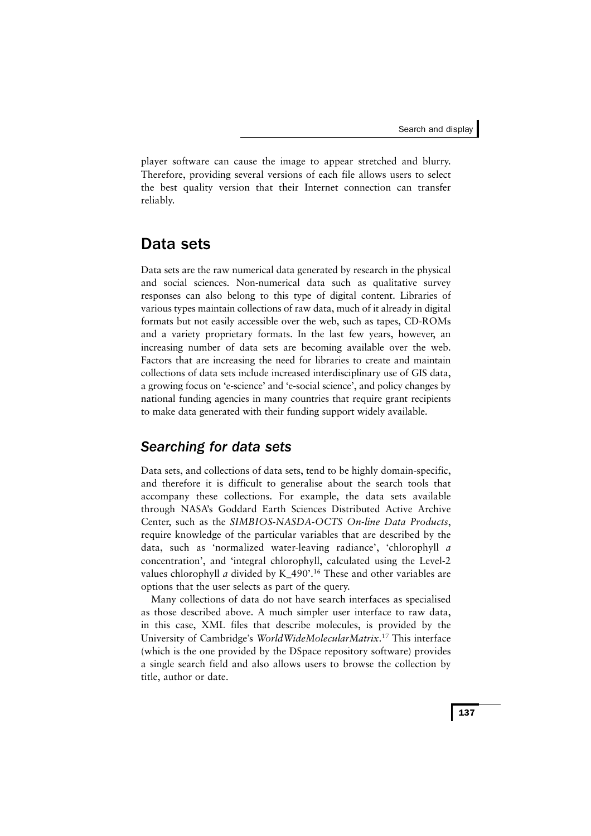player software can cause the image to appear stretched and blurry. Therefore, providing several versions of each file allows users to select the best quality version that their Internet connection can transfer reliably.

# Data sets

Data sets are the raw numerical data generated by research in the physical and social sciences. Non-numerical data such as qualitative survey responses can also belong to this type of digital content. Libraries of various types maintain collections of raw data, much of it already in digital formats but not easily accessible over the web, such as tapes, CD-ROMs and a variety proprietary formats. In the last few years, however, an increasing number of data sets are becoming available over the web. Factors that are increasing the need for libraries to create and maintain collections of data sets include increased interdisciplinary use of GIS data, a growing focus on 'e-science' and 'e-social science', and policy changes by national funding agencies in many countries that require grant recipients to make data generated with their funding support widely available.

#### *Searching for data sets*

Data sets, and collections of data sets, tend to be highly domain-specific, and therefore it is difficult to generalise about the search tools that accompany these collections. For example, the data sets available through NASA's Goddard Earth Sciences Distributed Active Archive Center, such as the *SIMBIOS-NASDA-OCTS On-line Data Products*, require knowledge of the particular variables that are described by the data, such as 'normalized water-leaving radiance', 'chlorophyll *a* concentration', and 'integral chlorophyll, calculated using the Level-2 values chlorophyll *a* divided by K\_490'.16 These and other variables are options that the user selects as part of the query.

Many collections of data do not have search interfaces as specialised as those described above. A much simpler user interface to raw data, in this case, XML files that describe molecules, is provided by the University of Cambridge's *WorldWideMolecularMatrix*. <sup>17</sup> This interface (which is the one provided by the DSpace repository software) provides a single search field and also allows users to browse the collection by title, author or date.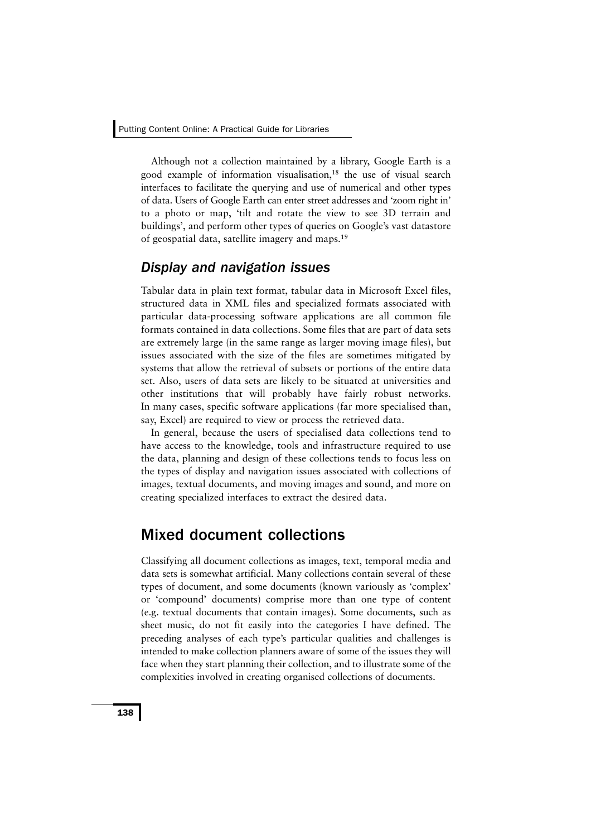Although not a collection maintained by a library, Google Earth is a good example of information visualisation,18 the use of visual search interfaces to facilitate the querying and use of numerical and other types of data. Users of Google Earth can enter street addresses and 'zoom right in' to a photo or map, 'tilt and rotate the view to see 3D terrain and buildings', and perform other types of queries on Google's vast datastore of geospatial data, satellite imagery and maps.19

#### *Display and navigation issues*

Tabular data in plain text format, tabular data in Microsoft Excel files, structured data in XML files and specialized formats associated with particular data-processing software applications are all common file formats contained in data collections. Some files that are part of data sets are extremely large (in the same range as larger moving image files), but issues associated with the size of the files are sometimes mitigated by systems that allow the retrieval of subsets or portions of the entire data set. Also, users of data sets are likely to be situated at universities and other institutions that will probably have fairly robust networks. In many cases, specific software applications (far more specialised than, say, Excel) are required to view or process the retrieved data.

In general, because the users of specialised data collections tend to have access to the knowledge, tools and infrastructure required to use the data, planning and design of these collections tends to focus less on the types of display and navigation issues associated with collections of images, textual documents, and moving images and sound, and more on creating specialized interfaces to extract the desired data.

### Mixed document collections

Classifying all document collections as images, text, temporal media and data sets is somewhat artificial. Many collections contain several of these types of document, and some documents (known variously as 'complex' or 'compound' documents) comprise more than one type of content (e.g. textual documents that contain images). Some documents, such as sheet music, do not fit easily into the categories I have defined. The preceding analyses of each type's particular qualities and challenges is intended to make collection planners aware of some of the issues they will face when they start planning their collection, and to illustrate some of the complexities involved in creating organised collections of documents.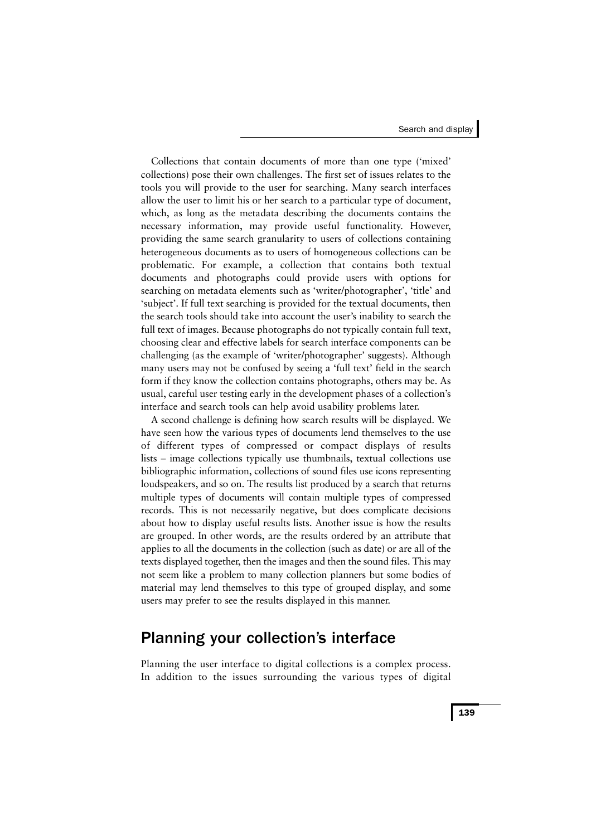Collections that contain documents of more than one type ('mixed' collections) pose their own challenges. The first set of issues relates to the tools you will provide to the user for searching. Many search interfaces allow the user to limit his or her search to a particular type of document, which, as long as the metadata describing the documents contains the necessary information, may provide useful functionality. However, providing the same search granularity to users of collections containing heterogeneous documents as to users of homogeneous collections can be problematic. For example, a collection that contains both textual documents and photographs could provide users with options for searching on metadata elements such as 'writer/photographer', 'title' and 'subject'. If full text searching is provided for the textual documents, then the search tools should take into account the user's inability to search the full text of images. Because photographs do not typically contain full text, choosing clear and effective labels for search interface components can be challenging (as the example of 'writer/photographer' suggests). Although many users may not be confused by seeing a 'full text' field in the search form if they know the collection contains photographs, others may be. As usual, careful user testing early in the development phases of a collection's interface and search tools can help avoid usability problems later.

A second challenge is defining how search results will be displayed. We have seen how the various types of documents lend themselves to the use of different types of compressed or compact displays of results lists – image collections typically use thumbnails, textual collections use bibliographic information, collections of sound files use icons representing loudspeakers, and so on. The results list produced by a search that returns multiple types of documents will contain multiple types of compressed records. This is not necessarily negative, but does complicate decisions about how to display useful results lists. Another issue is how the results are grouped. In other words, are the results ordered by an attribute that applies to all the documents in the collection (such as date) or are all of the texts displayed together, then the images and then the sound files. This may not seem like a problem to many collection planners but some bodies of material may lend themselves to this type of grouped display, and some users may prefer to see the results displayed in this manner.

# Planning your collection's interface

Planning the user interface to digital collections is a complex process. In addition to the issues surrounding the various types of digital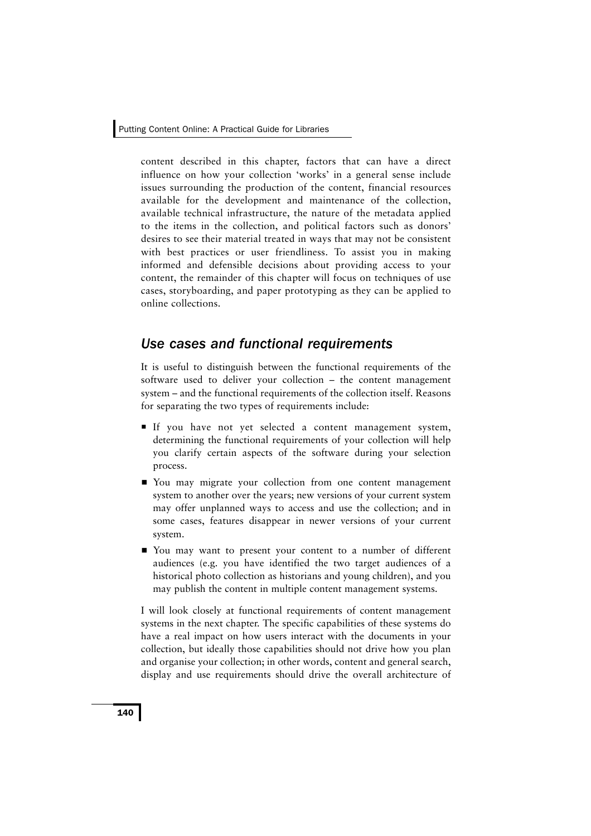content described in this chapter, factors that can have a direct influence on how your collection 'works' in a general sense include issues surrounding the production of the content, financial resources available for the development and maintenance of the collection, available technical infrastructure, the nature of the metadata applied to the items in the collection, and political factors such as donors' desires to see their material treated in ways that may not be consistent with best practices or user friendliness. To assist you in making informed and defensible decisions about providing access to your content, the remainder of this chapter will focus on techniques of use cases, storyboarding, and paper prototyping as they can be applied to online collections.

#### *Use cases and functional requirements*

It is useful to distinguish between the functional requirements of the software used to deliver your collection – the content management system – and the functional requirements of the collection itself. Reasons for separating the two types of requirements include:

- If you have not yet selected a content management system, determining the functional requirements of your collection will help you clarify certain aspects of the software during your selection process.
- You may migrate your collection from one content management system to another over the years; new versions of your current system may offer unplanned ways to access and use the collection; and in some cases, features disappear in newer versions of your current system.
- You may want to present your content to a number of different audiences (e.g. you have identified the two target audiences of a historical photo collection as historians and young children), and you may publish the content in multiple content management systems.

I will look closely at functional requirements of content management systems in the next chapter. The specific capabilities of these systems do have a real impact on how users interact with the documents in your collection, but ideally those capabilities should not drive how you plan and organise your collection; in other words, content and general search, display and use requirements should drive the overall architecture of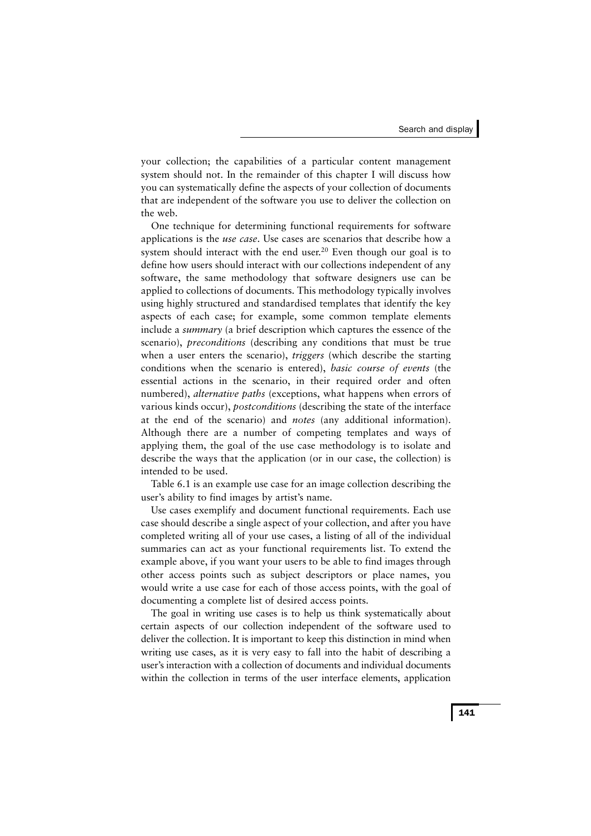your collection; the capabilities of a particular content management system should not. In the remainder of this chapter I will discuss how you can systematically define the aspects of your collection of documents that are independent of the software you use to deliver the collection on the web.

One technique for determining functional requirements for software applications is the *use case*. Use cases are scenarios that describe how a system should interact with the end user.<sup>20</sup> Even though our goal is to define how users should interact with our collections independent of any software, the same methodology that software designers use can be applied to collections of documents. This methodology typically involves using highly structured and standardised templates that identify the key aspects of each case; for example, some common template elements include a *summary* (a brief description which captures the essence of the scenario), *preconditions* (describing any conditions that must be true when a user enters the scenario), *triggers* (which describe the starting conditions when the scenario is entered), *basic course of events* (the essential actions in the scenario, in their required order and often numbered), *alternative paths* (exceptions, what happens when errors of various kinds occur), *postconditions* (describing the state of the interface at the end of the scenario) and *notes* (any additional information). Although there are a number of competing templates and ways of applying them, the goal of the use case methodology is to isolate and describe the ways that the application (or in our case, the collection) is intended to be used.

Table 6.1 is an example use case for an image collection describing the user's ability to find images by artist's name.

Use cases exemplify and document functional requirements. Each use case should describe a single aspect of your collection, and after you have completed writing all of your use cases, a listing of all of the individual summaries can act as your functional requirements list. To extend the example above, if you want your users to be able to find images through other access points such as subject descriptors or place names, you would write a use case for each of those access points, with the goal of documenting a complete list of desired access points.

The goal in writing use cases is to help us think systematically about certain aspects of our collection independent of the software used to deliver the collection. It is important to keep this distinction in mind when writing use cases, as it is very easy to fall into the habit of describing a user's interaction with a collection of documents and individual documents within the collection in terms of the user interface elements, application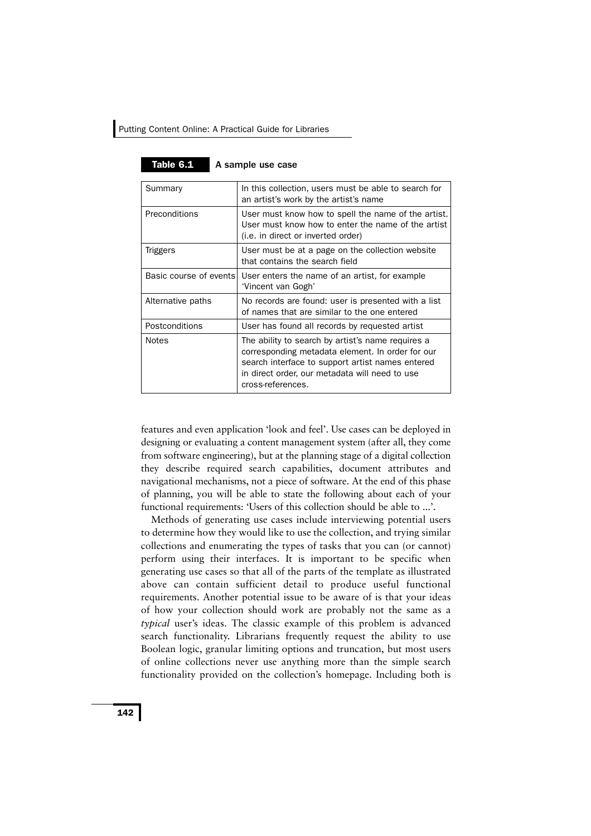| Summary                | In this collection, users must be able to search for<br>an artist's work by the artist's name                                                                                                                                    |
|------------------------|----------------------------------------------------------------------------------------------------------------------------------------------------------------------------------------------------------------------------------|
| Preconditions          | User must know how to spell the name of the artist.<br>User must know how to enter the name of the artist<br>(i.e. in direct or inverted order)                                                                                  |
| Triggers               | User must be at a page on the collection website<br>that contains the search field                                                                                                                                               |
| Basic course of events | User enters the name of an artist, for example<br>'Vincent van Gogh'                                                                                                                                                             |
| Alternative paths      | No records are found: user is presented with a list<br>of names that are similar to the one entered                                                                                                                              |
| Postconditions         | User has found all records by requested artist                                                                                                                                                                                   |
| <b>Notes</b>           | The ability to search by artist's name requires a<br>corresponding metadata element. In order for our<br>search interface to support artist names entered<br>in direct order, our metadata will need to use<br>cross-references. |

Table 6.1 A sample use case

features and even application 'look and feel'. Use cases can be deployed in designing or evaluating a content management system (after all, they come from software engineering), but at the planning stage of a digital collection they describe required search capabilities, document attributes and navigational mechanisms, not a piece of software. At the end of this phase of planning, you will be able to state the following about each of your functional requirements: 'Users of this collection should be able to ...'.

Methods of generating use cases include interviewing potential users to determine how they would like to use the collection, and trying similar collections and enumerating the types of tasks that you can (or cannot) perform using their interfaces. It is important to be specific when generating use cases so that all of the parts of the template as illustrated above can contain sufficient detail to produce useful functional requirements. Another potential issue to be aware of is that your ideas of how your collection should work are probably not the same as a *typical* user's ideas. The classic example of this problem is advanced search functionality. Librarians frequently request the ability to use Boolean logic, granular limiting options and truncation, but most users of online collections never use anything more than the simple search functionality provided on the collection's homepage. Including both is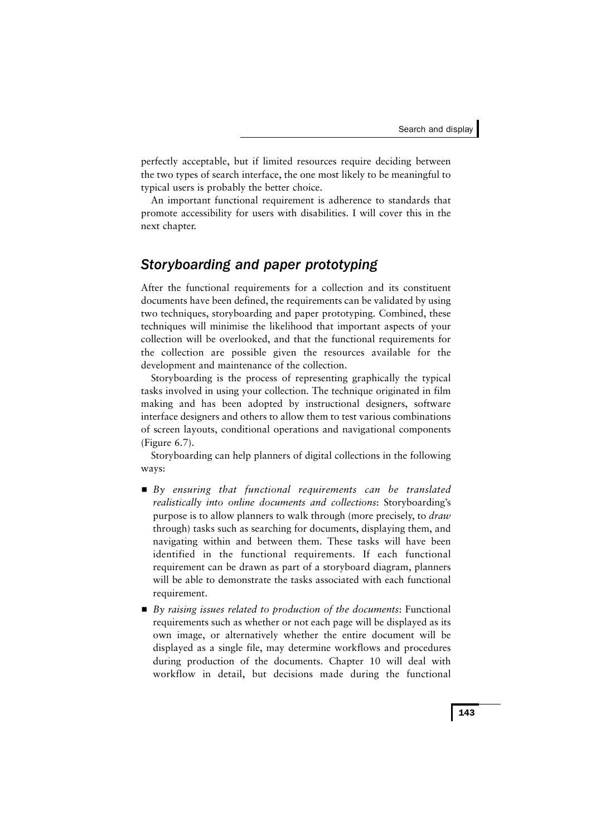perfectly acceptable, but if limited resources require deciding between the two types of search interface, the one most likely to be meaningful to typical users is probably the better choice.

An important functional requirement is adherence to standards that promote accessibility for users with disabilities. I will cover this in the next chapter.

#### *Storyboarding and paper prototyping*

After the functional requirements for a collection and its constituent documents have been defined, the requirements can be validated by using two techniques, storyboarding and paper prototyping. Combined, these techniques will minimise the likelihood that important aspects of your collection will be overlooked, and that the functional requirements for the collection are possible given the resources available for the development and maintenance of the collection.

Storyboarding is the process of representing graphically the typical tasks involved in using your collection. The technique originated in film making and has been adopted by instructional designers, software interface designers and others to allow them to test various combinations of screen layouts, conditional operations and navigational components (Figure 6.7).

Storyboarding can help planners of digital collections in the following ways:

- *By ensuring that functional requirements can be translated realistically into online documents and collections*: Storyboarding's purpose is to allow planners to walk through (more precisely, to *draw* through) tasks such as searching for documents, displaying them, and navigating within and between them. These tasks will have been identified in the functional requirements. If each functional requirement can be drawn as part of a storyboard diagram, planners will be able to demonstrate the tasks associated with each functional requirement.
- *By raising issues related to production of the documents*: Functional requirements such as whether or not each page will be displayed as its own image, or alternatively whether the entire document will be displayed as a single file, may determine workflows and procedures during production of the documents. Chapter 10 will deal with workflow in detail, but decisions made during the functional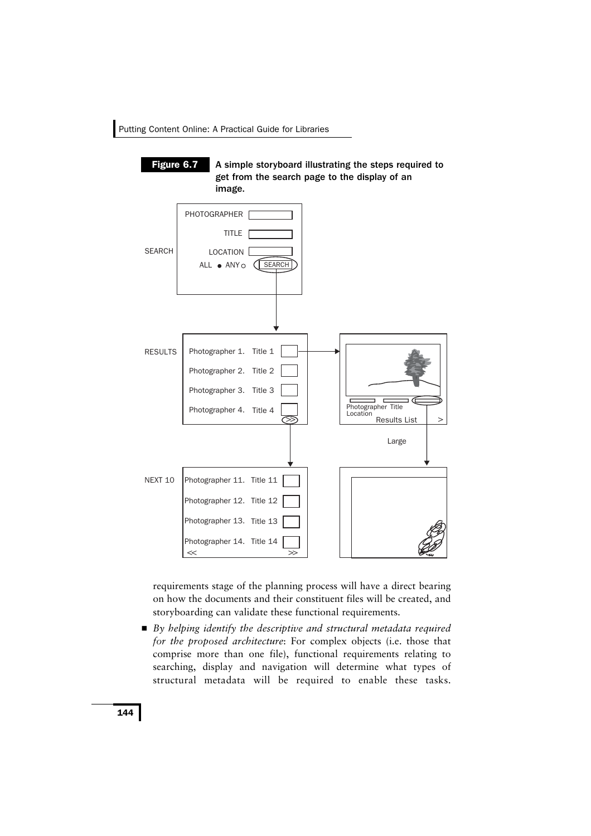

requirements stage of the planning process will have a direct bearing on how the documents and their constituent files will be created, and storyboarding can validate these functional requirements.

 *By helping identify the descriptive and structural metadata required for the proposed architecture*: For complex objects (i.e. those that comprise more than one file), functional requirements relating to searching, display and navigation will determine what types of structural metadata will be required to enable these tasks.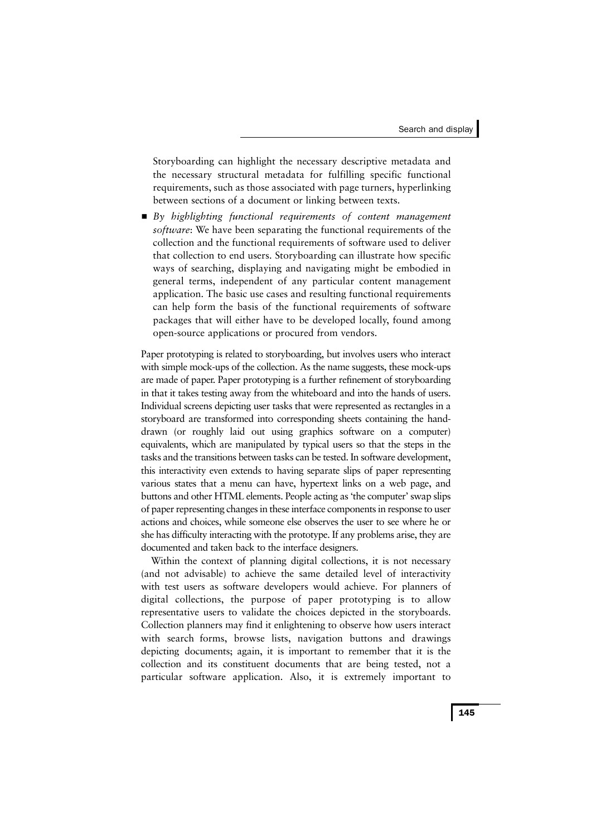Storyboarding can highlight the necessary descriptive metadata and the necessary structural metadata for fulfilling specific functional requirements, such as those associated with page turners, hyperlinking between sections of a document or linking between texts.

 *By highlighting functional requirements of content management software*: We have been separating the functional requirements of the collection and the functional requirements of software used to deliver that collection to end users. Storyboarding can illustrate how specific ways of searching, displaying and navigating might be embodied in general terms, independent of any particular content management application. The basic use cases and resulting functional requirements can help form the basis of the functional requirements of software packages that will either have to be developed locally, found among open-source applications or procured from vendors.

Paper prototyping is related to storyboarding, but involves users who interact with simple mock-ups of the collection. As the name suggests, these mock-ups are made of paper. Paper prototyping is a further refinement of storyboarding in that it takes testing away from the whiteboard and into the hands of users. Individual screens depicting user tasks that were represented as rectangles in a storyboard are transformed into corresponding sheets containing the handdrawn (or roughly laid out using graphics software on a computer) equivalents, which are manipulated by typical users so that the steps in the tasks and the transitions between tasks can be tested. In software development, this interactivity even extends to having separate slips of paper representing various states that a menu can have, hypertext links on a web page, and buttons and other HTML elements. People acting as 'the computer' swap slips of paper representing changes in these interface components in response to user actions and choices, while someone else observes the user to see where he or she has difficulty interacting with the prototype. If any problems arise, they are documented and taken back to the interface designers.

Within the context of planning digital collections, it is not necessary (and not advisable) to achieve the same detailed level of interactivity with test users as software developers would achieve. For planners of digital collections, the purpose of paper prototyping is to allow representative users to validate the choices depicted in the storyboards. Collection planners may find it enlightening to observe how users interact with search forms, browse lists, navigation buttons and drawings depicting documents; again, it is important to remember that it is the collection and its constituent documents that are being tested, not a particular software application. Also, it is extremely important to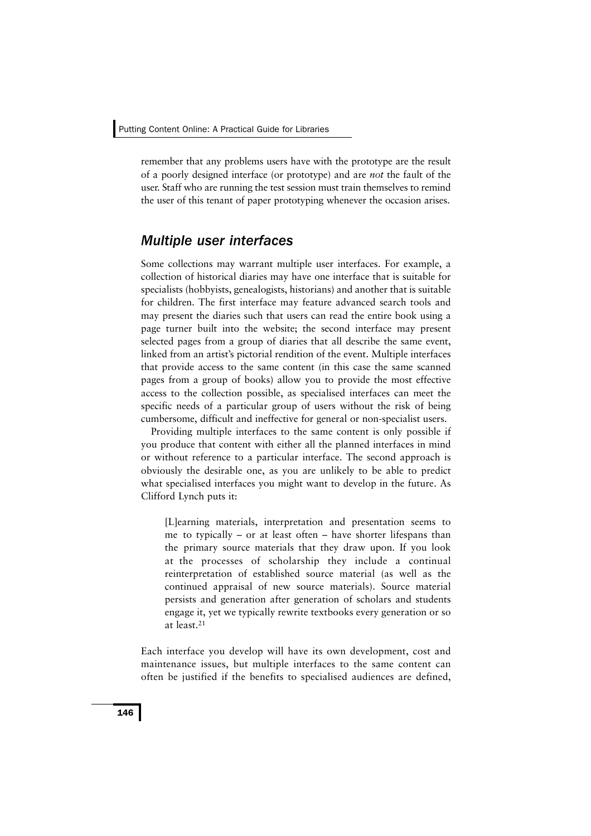remember that any problems users have with the prototype are the result of a poorly designed interface (or prototype) and are *not* the fault of the user. Staff who are running the test session must train themselves to remind the user of this tenant of paper prototyping whenever the occasion arises.

#### *Multiple user interfaces*

Some collections may warrant multiple user interfaces. For example, a collection of historical diaries may have one interface that is suitable for specialists (hobbyists, genealogists, historians) and another that is suitable for children. The first interface may feature advanced search tools and may present the diaries such that users can read the entire book using a page turner built into the website; the second interface may present selected pages from a group of diaries that all describe the same event, linked from an artist's pictorial rendition of the event. Multiple interfaces that provide access to the same content (in this case the same scanned pages from a group of books) allow you to provide the most effective access to the collection possible, as specialised interfaces can meet the specific needs of a particular group of users without the risk of being cumbersome, difficult and ineffective for general or non-specialist users.

Providing multiple interfaces to the same content is only possible if you produce that content with either all the planned interfaces in mind or without reference to a particular interface. The second approach is obviously the desirable one, as you are unlikely to be able to predict what specialised interfaces you might want to develop in the future. As Clifford Lynch puts it:

[L]earning materials, interpretation and presentation seems to me to typically – or at least often – have shorter lifespans than the primary source materials that they draw upon. If you look at the processes of scholarship they include a continual reinterpretation of established source material (as well as the continued appraisal of new source materials). Source material persists and generation after generation of scholars and students engage it, yet we typically rewrite textbooks every generation or so at least.21

Each interface you develop will have its own development, cost and maintenance issues, but multiple interfaces to the same content can often be justified if the benefits to specialised audiences are defined,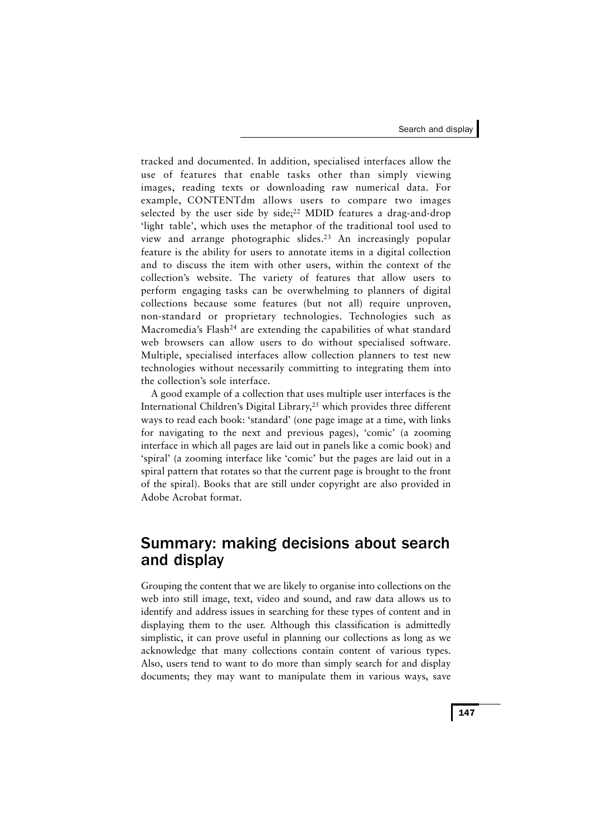tracked and documented. In addition, specialised interfaces allow the use of features that enable tasks other than simply viewing images, reading texts or downloading raw numerical data. For example, CONTENTdm allows users to compare two images selected by the user side by side;<sup>22</sup> MDID features a drag-and-drop 'light table', which uses the metaphor of the traditional tool used to view and arrange photographic slides.23 An increasingly popular feature is the ability for users to annotate items in a digital collection and to discuss the item with other users, within the context of the collection's website. The variety of features that allow users to perform engaging tasks can be overwhelming to planners of digital collections because some features (but not all) require unproven, non-standard or proprietary technologies. Technologies such as Macromedia's Flash<sup>24</sup> are extending the capabilities of what standard web browsers can allow users to do without specialised software. Multiple, specialised interfaces allow collection planners to test new technologies without necessarily committing to integrating them into the collection's sole interface.

A good example of a collection that uses multiple user interfaces is the International Children's Digital Library,25 which provides three different ways to read each book: 'standard' (one page image at a time, with links for navigating to the next and previous pages), 'comic' (a zooming interface in which all pages are laid out in panels like a comic book) and 'spiral' (a zooming interface like 'comic' but the pages are laid out in a spiral pattern that rotates so that the current page is brought to the front of the spiral). Books that are still under copyright are also provided in Adobe Acrobat format.

# Summary: making decisions about search and display

Grouping the content that we are likely to organise into collections on the web into still image, text, video and sound, and raw data allows us to identify and address issues in searching for these types of content and in displaying them to the user. Although this classification is admittedly simplistic, it can prove useful in planning our collections as long as we acknowledge that many collections contain content of various types. Also, users tend to want to do more than simply search for and display documents; they may want to manipulate them in various ways, save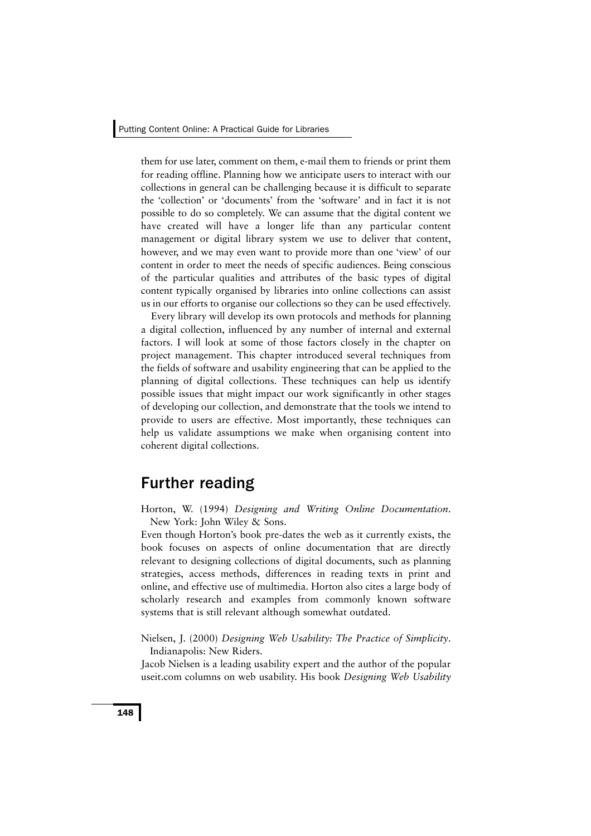them for use later, comment on them, e-mail them to friends or print them for reading offline. Planning how we anticipate users to interact with our collections in general can be challenging because it is difficult to separate the 'collection' or 'documents' from the 'software' and in fact it is not possible to do so completely. We can assume that the digital content we have created will have a longer life than any particular content management or digital library system we use to deliver that content, however, and we may even want to provide more than one 'view' of our content in order to meet the needs of specific audiences. Being conscious of the particular qualities and attributes of the basic types of digital content typically organised by libraries into online collections can assist us in our efforts to organise our collections so they can be used effectively.

Every library will develop its own protocols and methods for planning a digital collection, influenced by any number of internal and external factors. I will look at some of those factors closely in the chapter on project management. This chapter introduced several techniques from the fields of software and usability engineering that can be applied to the planning of digital collections. These techniques can help us identify possible issues that might impact our work significantly in other stages of developing our collection, and demonstrate that the tools we intend to provide to users are effective. Most importantly, these techniques can help us validate assumptions we make when organising content into coherent digital collections.

### Further reading

Horton, W. (1994) *Designing and Writing Online Documentation*. New York: John Wiley & Sons.

Even though Horton's book pre-dates the web as it currently exists, the book focuses on aspects of online documentation that are directly relevant to designing collections of digital documents, such as planning strategies, access methods, differences in reading texts in print and online, and effective use of multimedia. Horton also cites a large body of scholarly research and examples from commonly known software systems that is still relevant although somewhat outdated.

Nielsen, J. (2000) *Designing Web Usability: The Practice of Simplicity*. Indianapolis: New Riders.

Jacob Nielsen is a leading usability expert and the author of the popular useit.com columns on web usability. His book *Designing Web Usability*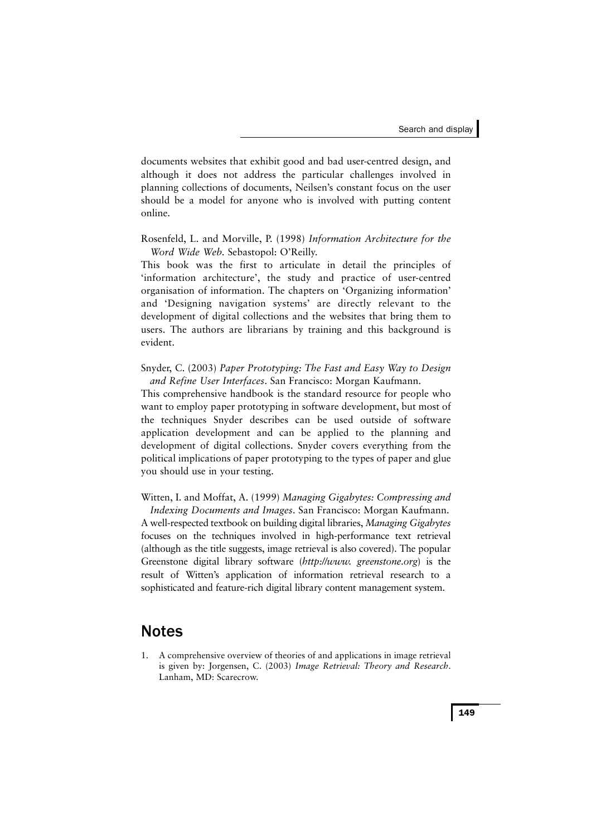documents websites that exhibit good and bad user-centred design, and although it does not address the particular challenges involved in planning collections of documents, Neilsen's constant focus on the user should be a model for anyone who is involved with putting content online.

Rosenfeld, L. and Morville, P. (1998) *Information Architecture for the Word Wide Web.* Sebastopol: O'Reilly.

This book was the first to articulate in detail the principles of 'information architecture', the study and practice of user-centred organisation of information. The chapters on 'Organizing information' and 'Designing navigation systems' are directly relevant to the development of digital collections and the websites that bring them to users. The authors are librarians by training and this background is evident.

#### Snyder, C. (2003) *Paper Prototyping: The Fast and Easy Way to Design and Refine User Interfaces*. San Francisco: Morgan Kaufmann.

This comprehensive handbook is the standard resource for people who want to employ paper prototyping in software development, but most of the techniques Snyder describes can be used outside of software application development and can be applied to the planning and development of digital collections. Snyder covers everything from the political implications of paper prototyping to the types of paper and glue you should use in your testing.

#### Witten, I. and Moffat, A. (1999) *Managing Gigabytes: Compressing and*

*Indexing Documents and Images*. San Francisco: Morgan Kaufmann. A well-respected textbook on building digital libraries, *Managing Gigabytes* focuses on the techniques involved in high-performance text retrieval (although as the title suggests, image retrieval is also covered). The popular Greenstone digital library software (*http://www. greenstone.org*) is the result of Witten's application of information retrieval research to a sophisticated and feature-rich digital library content management system.

#### **Notes**

1. A comprehensive overview of theories of and applications in image retrieval is given by: Jorgensen, C. (2003) *Image Retrieval: Theory and Research*. Lanham, MD: Scarecrow.